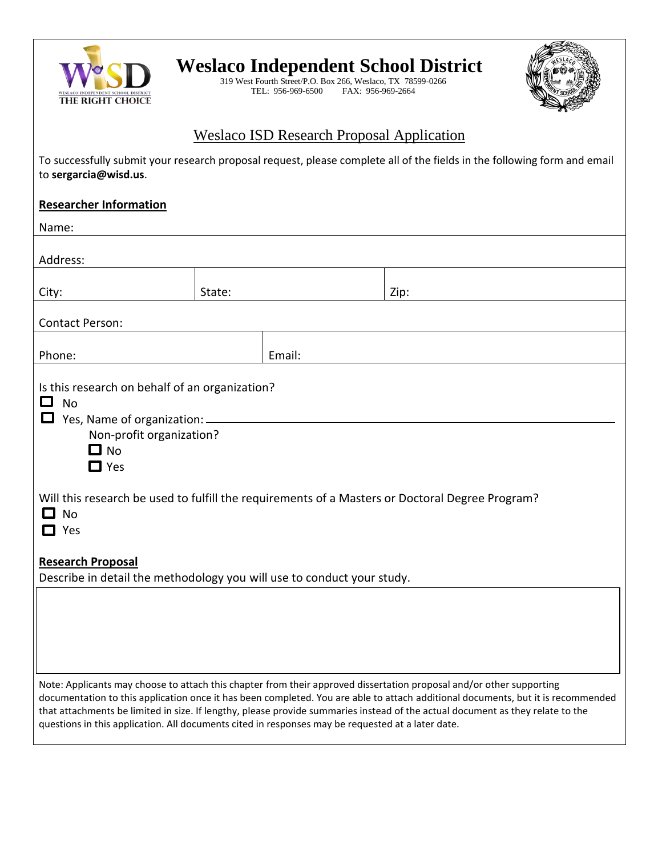

## **Weslaco Independent School District**

319 West Fourth Street/P.O. Box 266, Weslaco, TX 78599-0266 TEL: 956-969-6500 FAX: 956-969-2664



## Weslaco ISD Research Proposal Application

| To successfully submit your research proposal request, please complete all of the fields in the following form and email<br>to sergarcia@wisd.us.                                                                                                                                                                                                                                                                                                                                               |        |        |      |  |  |
|-------------------------------------------------------------------------------------------------------------------------------------------------------------------------------------------------------------------------------------------------------------------------------------------------------------------------------------------------------------------------------------------------------------------------------------------------------------------------------------------------|--------|--------|------|--|--|
| <b>Researcher Information</b>                                                                                                                                                                                                                                                                                                                                                                                                                                                                   |        |        |      |  |  |
| Name:                                                                                                                                                                                                                                                                                                                                                                                                                                                                                           |        |        |      |  |  |
| Address:                                                                                                                                                                                                                                                                                                                                                                                                                                                                                        |        |        |      |  |  |
| City:                                                                                                                                                                                                                                                                                                                                                                                                                                                                                           | State: |        | Zip: |  |  |
| <b>Contact Person:</b>                                                                                                                                                                                                                                                                                                                                                                                                                                                                          |        |        |      |  |  |
| Phone:                                                                                                                                                                                                                                                                                                                                                                                                                                                                                          |        | Email: |      |  |  |
| Is this research on behalf of an organization?<br><b>No</b><br>$\overline{\phantom{a}}$<br>Yes, Name of organization: __<br>Non-profit organization?<br>$\Box$ No<br>$\Box$ Yes<br>Will this research be used to fulfill the requirements of a Masters or Doctoral Degree Program?<br><b>No</b><br>H<br>Yes<br>$\mathbf{I}$                                                                                                                                                                     |        |        |      |  |  |
| <b>Research Proposal</b><br>Describe in detail the methodology you will use to conduct your study.                                                                                                                                                                                                                                                                                                                                                                                              |        |        |      |  |  |
|                                                                                                                                                                                                                                                                                                                                                                                                                                                                                                 |        |        |      |  |  |
| Note: Applicants may choose to attach this chapter from their approved dissertation proposal and/or other supporting<br>documentation to this application once it has been completed. You are able to attach additional documents, but it is recommended<br>that attachments be limited in size. If lengthy, please provide summaries instead of the actual document as they relate to the<br>questions in this application. All documents cited in responses may be requested at a later date. |        |        |      |  |  |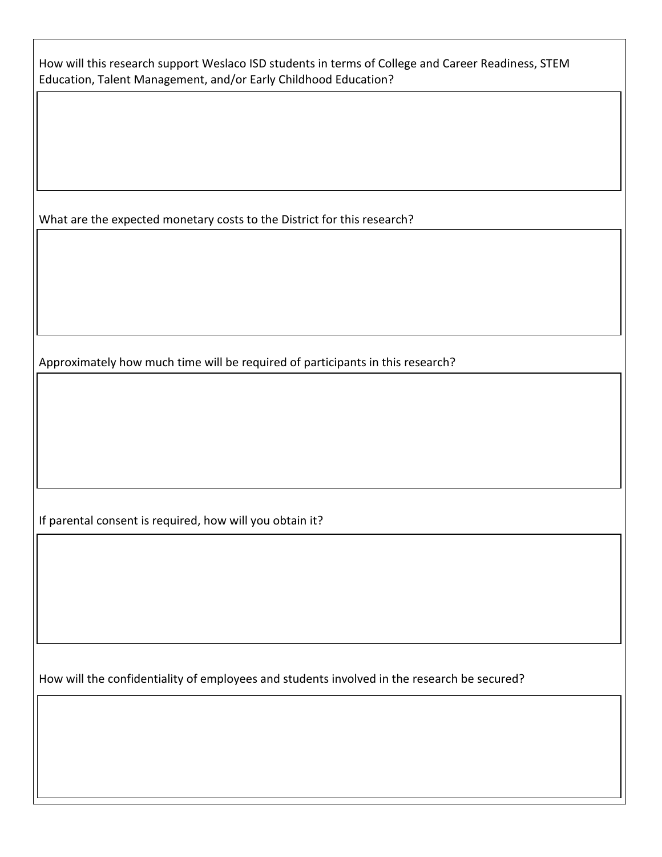| How will this research support Weslaco ISD students in terms of College and Career Readiness, STEM |  |
|----------------------------------------------------------------------------------------------------|--|
| Education, Talent Management, and/or Early Childhood Education?                                    |  |

What are the expected monetary costs to the District for this research?

Approximately how much time will be required of participants in this research?

If parental consent is required, how will you obtain it?

How will the confidentiality of employees and students involved in the research be secured?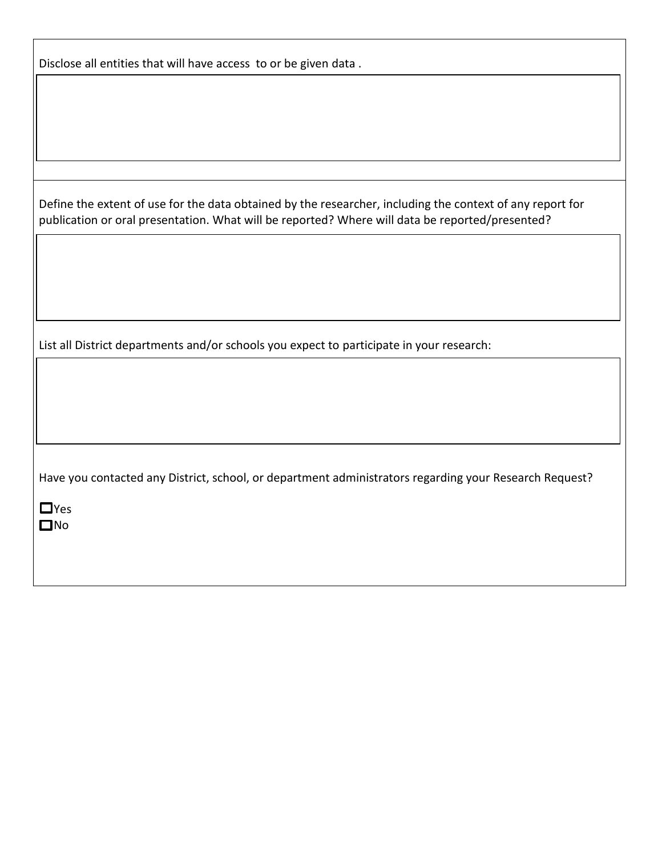| Disclose all entities that will have access to or be given data. |  |
|------------------------------------------------------------------|--|
|------------------------------------------------------------------|--|

Define the extent of use for the data obtained by the researcher, including the context of any report for publication or oral presentation. What will be reported? Where will data be reported/presented?

List all District departments and/or schools you expect to participate in your research:

Have you contacted any District, school, or department administrators regarding your Research Request?

**O**Yes **n**No